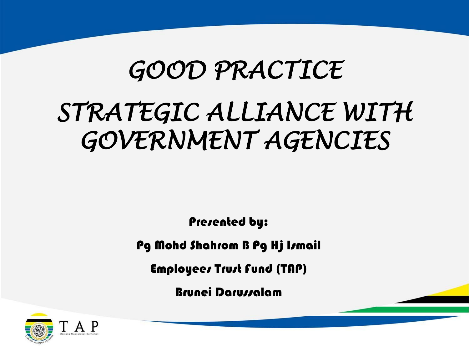## *GOOD PRACTICE STRATEGIC ALLIANCE WITH GOVERNMENT AGENCIES*

Presented by:

Pg Mohd Shahrom B Pg Hj Ismail

Employees Trust Fund (TAP)

Brunei Darussalam

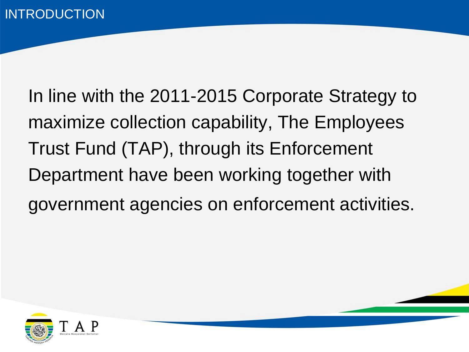In line with the 2011-2015 Corporate Strategy to maximize collection capability, The Employees Trust Fund (TAP), through its Enforcement Department have been working together with government agencies on enforcement activities.

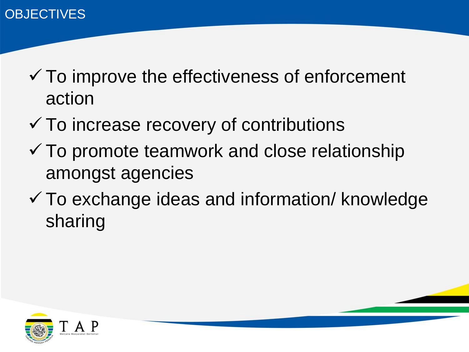- $\checkmark$  To improve the effectiveness of enforcement action
- $\checkmark$  To increase recovery of contributions
- $\checkmark$  To promote teamwork and close relationship amongst agencies
- $\checkmark$  To exchange ideas and information/ knowledge sharing



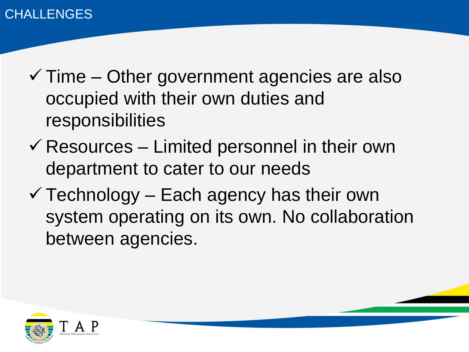- $\checkmark$  Time Other government agencies are also occupied with their own duties and responsibilities
- $\checkmark$  Resources Limited personnel in their own department to cater to our needs
- $\checkmark$  Technology Each agency has their own system operating on its own. No collaboration between agencies.

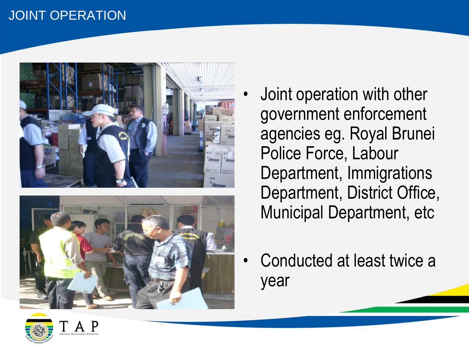#### JOINT OPERATION





- Joint operation with other government enforcement agencies eg. Royal Brunei Police Force, Labour Department, Immigrations Department, District Office, Municipal Department, etc
- Conducted at least twice a year

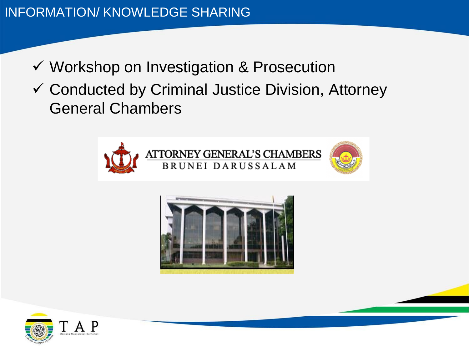- ✓ Workshop on Investigation & Prosecution
- ✓ Conducted by Criminal Justice Division, Attorney General Chambers





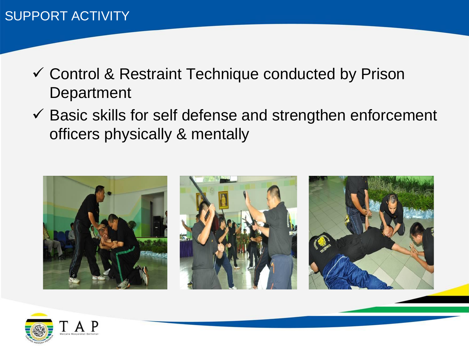- ✓ Control & Restraint Technique conducted by Prison **Department**
- $\checkmark$  Basic skills for self defense and strengthen enforcement officers physically & mentally



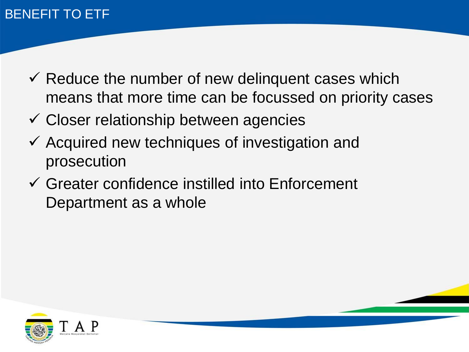### BENEFIT TO ETF

- $\checkmark$  Reduce the number of new delinguent cases which means that more time can be focussed on priority cases
- ✓ Closer relationship between agencies
- ✓ Acquired new techniques of investigation and prosecution
- ✓ Greater confidence instilled into Enforcement Department as a whole

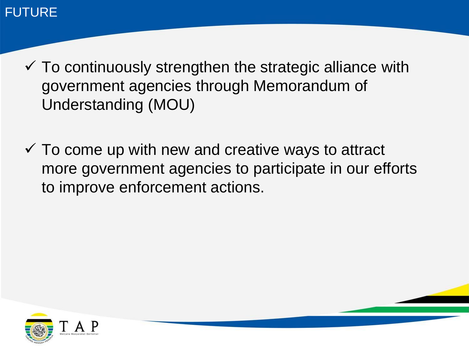#### FUTURE

- $\checkmark$  To continuously strengthen the strategic alliance with government agencies through Memorandum of Understanding (MOU)
- $\checkmark$  To come up with new and creative ways to attract more government agencies to participate in our efforts to improve enforcement actions.